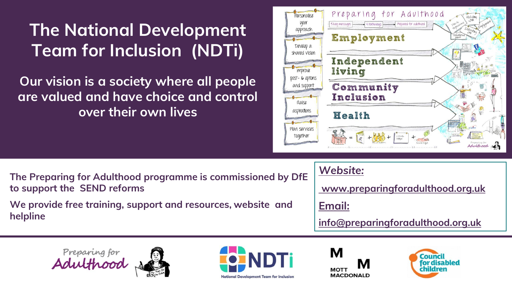## **The National Development Team for Inclusion (NDTi)**

**Our vision is a society where all people are valued and have choice and control over their own lives**



**The Preparing for Adulthood programme is commissioned by DfE to support the SEND reforms** 

**We provide free training, support and resources, website and helpline** 

*[Website:](http://www.preparingforadulthood.org.uk/)*

**[www.preparingforadulthood.org.uk](http://www.preparingforadulthood.org.uk/)**

**[Email:](mailto:info@preparingforadulthood.org.uk)** 

**[info@preparingforadulthood.org.uk](mailto:info@preparingforadulthood.org.uk)**







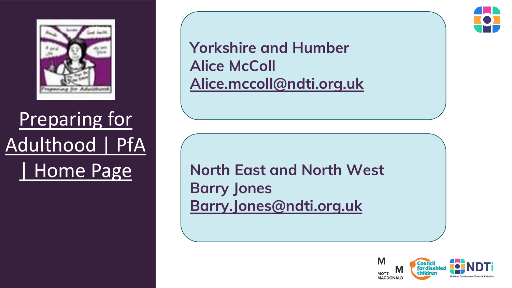

## Preparing for [Adulthood | PfA](https://www.preparingforadulthood.org.uk/) | Home Page

**Yorkshire and Humber Alice McColl [Alice.mccoll@ndti.org.uk](mailto:Alice.mccoll@ndti.org.uk)**

**North East and North West Barry Jones [Barry.Jones@ndti.org.uk](mailto:Alice.mccoll@ndti.org.uk)**



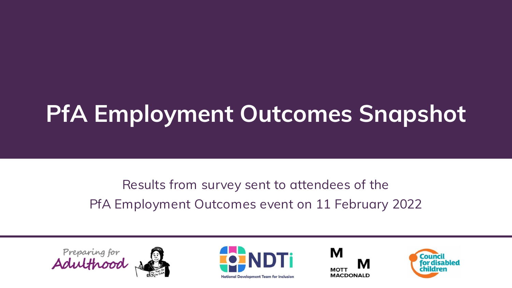# **PfA Employment Outcomes Snapshot**

Results from survey sent to attendees of the PfA Employment Outcomes event on 11 February 2022







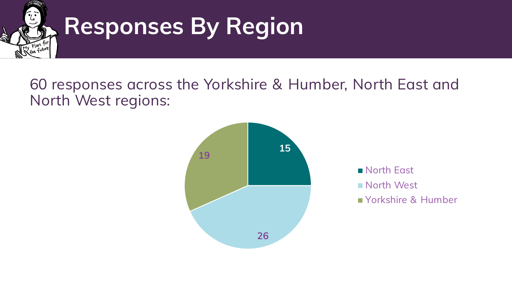

# **Responses By Region**

### 60 responses across the Yorkshire & Humber, North East and North West regions:



**North East North West** Yorkshire & Humber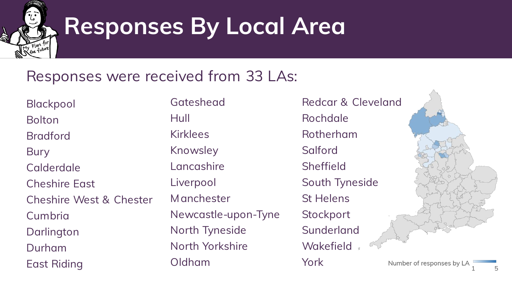

# **Responses By Local Area**

### Responses were received from 33 LAs:

Blackpool Bolton Bradford **Bury** Calderdale Cheshire East Cheshire West & Chester **Cumbria** Darlington Durham East Riding

**Gateshead** Hull Kirklees Knowsley Lancashire Liverpool **M**anchester Newcastle-upon-Tyne North Tyneside North Yorkshire Oldham

Redcar & Cleveland Rochdale Rotherham **Salford Sheffield** South Tyneside St Helens **Stockport** Sunderland **Wakefield** York



Number of responses by LA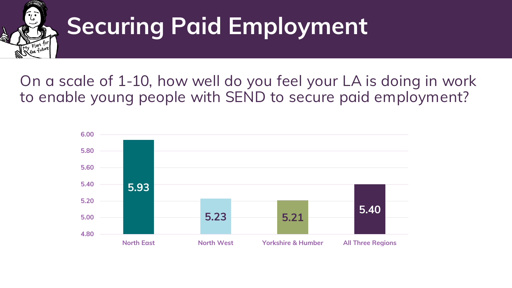

# **Securing Paid Employment**

### On a scale of 1-10, how well do you feel your LA is doing in work to enable young people with SEND to secure paid employment?

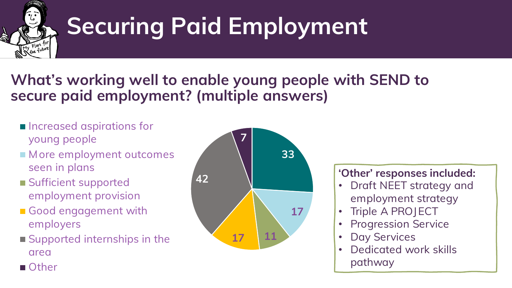

# **Securing Paid Employment**

## **What's working well to enable young people with SEND to secure paid employment? (multiple answers)**

- **Increased aspirations for** young people
- More employment outcomes seen in plans
- **Sufficient supported** employment provision
- Good engagement with employers
- Supported internships in the area



#### **'Other' responses included:**

- Draft NEET strategy and employment strategy
- Triple A PROJECT
- Progression Service
- Day Services
- Dedicated work skills pathway

■ Other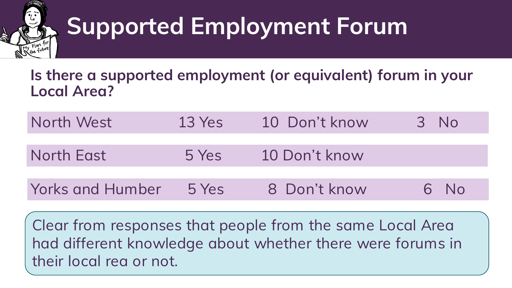

# **Supported Employment Forum**

### **Is there a supported employment (or equivalent) forum in your Local Area?**

| North West       | $13$ Yes | 10 Don't know | 3 No   |
|------------------|----------|---------------|--------|
|                  |          |               |        |
| North East       | 5 Yes    | 10 Don't know |        |
|                  |          |               |        |
| Yorks and Humber | 5 Yes    | 8 Don't know  | $6$ No |

Clear from responses that people from the same Local Area had different knowledge about whether there were forums in their local rea or not.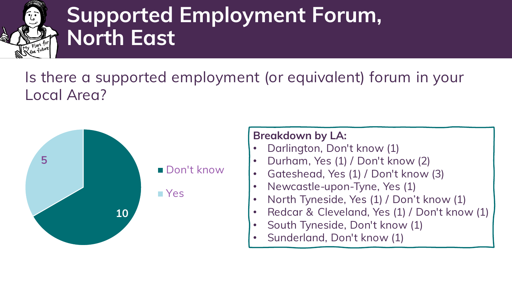

## **Supported Employment Forum, North East**

## Is there a supported employment (or equivalent) forum in your Local Area?



- Darlington, Don't know (1)
- Durham, Yes (1) / Don't know (2)
- Gateshead, Yes (1) / Don't know (3)
- Newcastle-upon-Tyne, Yes (1)
- North Tyneside, Yes (1) / Don't know (1)
- Redcar & Cleveland, Yes (1) / Don't know (1)
- South Tyneside, Don't know (1)
- Sunderland, Don't know (1)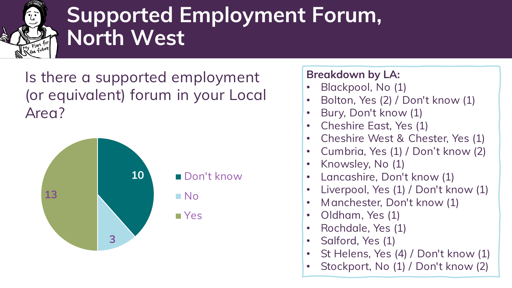

## **Supported Employment Forum, North West**

Is there a supported employment (or equivalent) forum in your Local Area?



- Blackpool, No (1)
- Bolton, Yes (2) / Don't know (1)
- Bury, Don't know (1)
- Cheshire East, Yes (1)
- Cheshire West & Chester, Yes (1)
- Cumbria, Yes (1) / Don't know (2)
- Knowsley, No (1)
- Lancashire, Don't know (1)
- Liverpool, Yes (1) / Don't know (1)
- Manchester, Don't know (1)
- Oldham, Yes (1)
- Rochdale, Yes (1)
- Salford, Yes (1)
- St Helens, Yes (4) / Don't know (1)
- Stockport, No (1) / Don't know (2)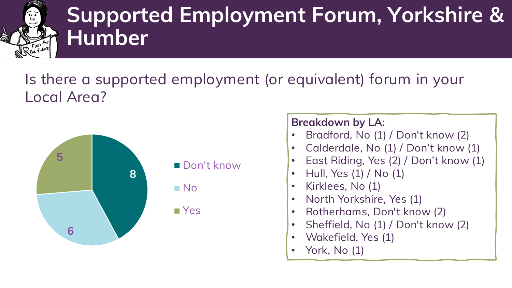

## **Supported Employment Forum, Yorkshire & Humber**

## Is there a supported employment (or equivalent) forum in your Local Area?



#### Don't know

No

**■**Yes

- Bradford, No (1) / Don't know (2)
- Calderdale, No (1) / Don't know (1)
- East Riding, Yes (2) / Don't know (1)
- Hull, Yes (1) / No (1)
- Kirklees, No (1)
- North Yorkshire, Yes (1)
- Rotherhams, Don't know (2)
- Sheffield, No (1) / Don't know (2)
- Wakefield, Yes (1)
- York, No (1)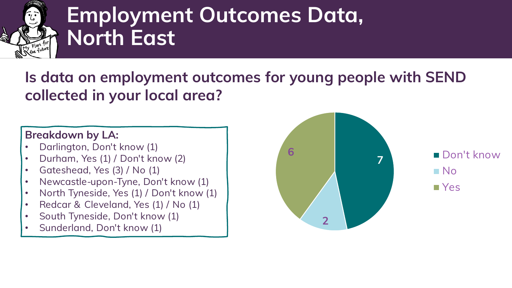

## **Employment Outcomes Data, North East**

### **Is data on employment outcomes for young people with SEND collected in your local area?**

#### **Breakdown by LA:**

- Darlington, Don't know (1)
- Durham, Yes (1) / Don't know (2)
- Gateshead, Yes (3) / No (1)
- Newcastle-upon-Tyne, Don't know (1)
- North Tyneside, Yes (1) / Don't know (1)
- Redcar & Cleveland, Yes (1) / No (1)
- South Tyneside, Don't know (1)
- Sunderland, Don't know (1)



No Yes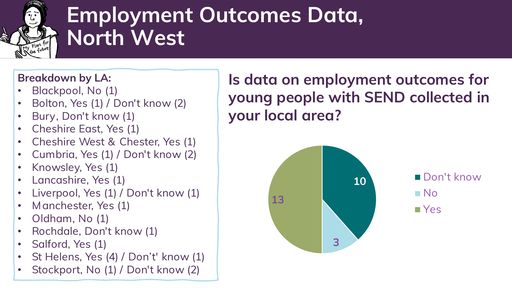

## **Employment Outcomes Data, North West**

#### **Breakdown by LA:**

- Blackpool, No (1)
- Bolton, Yes (1) / Don't know (2)
- Bury, Don't know (1)
- Cheshire East, Yes (1)
- Cheshire West & Chester, Yes (1)
- Cumbria, Yes (1) / Don't know (2)
- Knowsley, Yes (1)
- Lancashire, Yes (1)
- Liverpool, Yes (1) / Don't know (1)
- Manchester, Yes (1)
- Oldham, No (1)
- Rochdale, Don't know (1)
- Salford, Yes (1)
- St Helens, Yes (4) / Don't' know (1)
- Stockport, No (1) / Don't know (2)

### **Is data on employment outcomes for young people with SEND collected in your local area?**

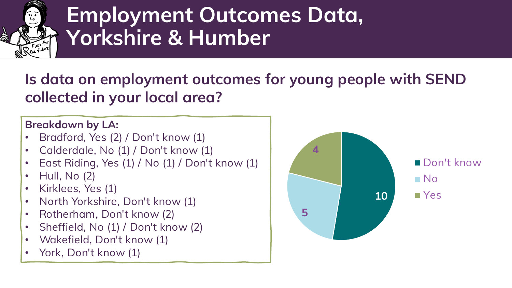

## **Employment Outcomes Data, Yorkshire & Humber**

### **Is data on employment outcomes for young people with SEND collected in your local area?**

- Bradford, Yes (2) / Don't know (1)
- Calderdale, No (1) / Don't know (1)
- East Riding, Yes (1) / No (1) / Don't know (1)
- Hull, No (2)
- Kirklees, Yes (1)
- North Yorkshire, Don't know (1)
- Rotherham, Don't know (2)
- Sheffield, No (1) / Don't know (2)
- Wakefield, Don't know (1)
- York, Don't know (1)

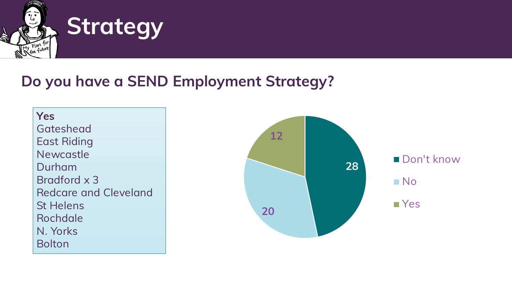

## **Strategy**

### **Do you have a SEND Employment Strategy?**

**Yes Gateshead** East Riding Newcastle Durham Bradford x 3 Redcare and Cleveland St Helens Rochdale N. Yorks Bolton

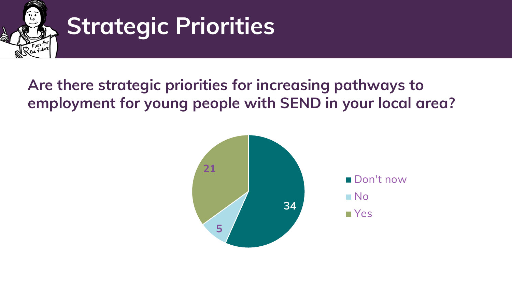

# **Strategic Priorities**

## **Are there strategic priorities for increasing pathways to employment for young people with SEND in your local area?**

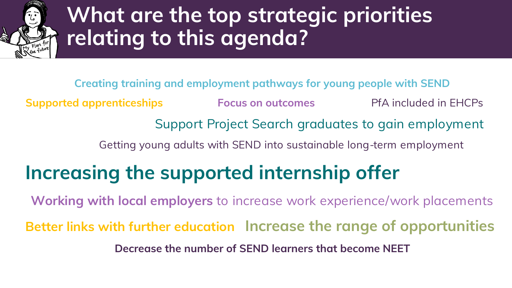

## **What are the top strategic priorities relating to this agenda?**

**Creating training and employment pathways for young people with SEND Supported apprenticeships Focus on outcomes PfA included in EHCPs** Support Project Search graduates to gain employment Getting young adults with SEND into sustainable long-term employment **Increasing the supported internship offer**

**Working with local employers** to increase work experience/work placements **Better links with further education Increase the range of opportunities Decrease the number of SEND learners that become NEET**